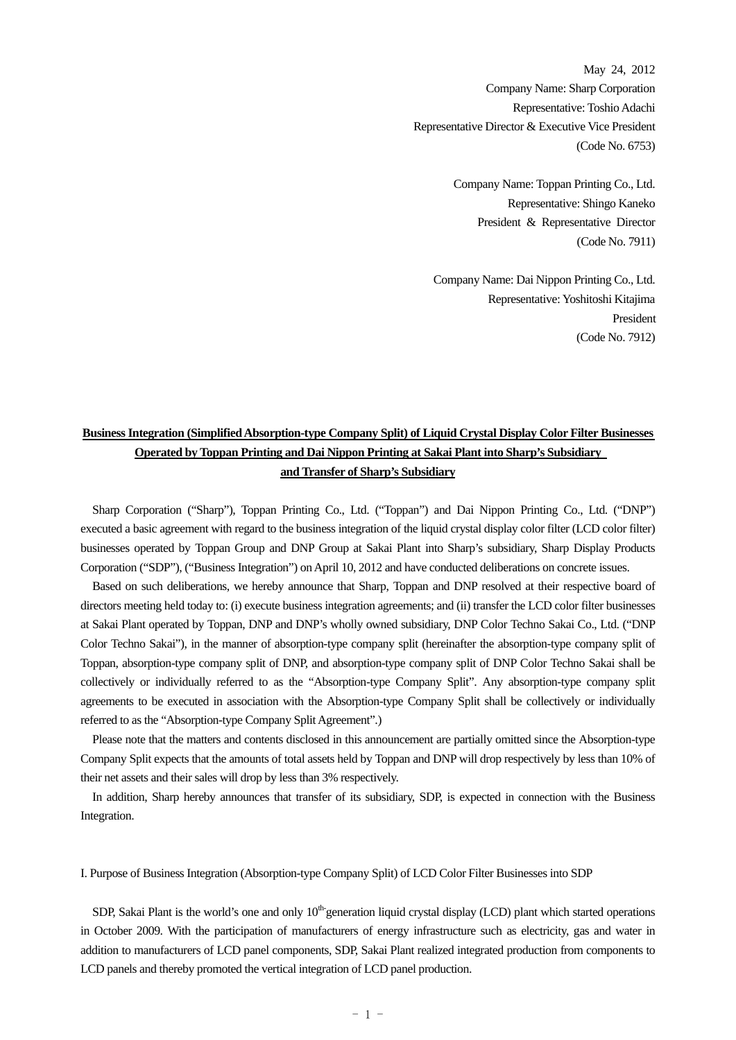May 24, 2012 Company Name: Sharp Corporation Representative: Toshio Adachi Representative Director & Executive Vice President (Code No. 6753)

> Company Name: Toppan Printing Co., Ltd. Representative: Shingo Kaneko President & Representative Director (Code No. 7911)

Company Name: Dai Nippon Printing Co., Ltd. Representative: Yoshitoshi Kitajima President (Code No. 7912)

# **Business Integration (Simplified Absorption-type Company Split) of Liquid Crystal Display Color Filter Businesses Operated by Toppan Printing and Dai Nippon Printing at Sakai Plant into Sharp's Subsidiary and Transfer of Sharp's Subsidiary**

Sharp Corporation ("Sharp"), Toppan Printing Co., Ltd. ("Toppan") and Dai Nippon Printing Co., Ltd. ("DNP") executed a basic agreement with regard to the business integration of the liquid crystal display color filter (LCD color filter) businesses operated by Toppan Group and DNP Group at Sakai Plant into Sharp's subsidiary, Sharp Display Products Corporation ("SDP"), ("Business Integration") on April 10, 2012 and have conducted deliberations on concrete issues.

Based on such deliberations, we hereby announce that Sharp, Toppan and DNP resolved at their respective board of directors meeting held today to: (i) execute business integration agreements; and (ii) transfer the LCD color filter businesses at Sakai Plant operated by Toppan, DNP and DNP's wholly owned subsidiary, DNP Color Techno Sakai Co., Ltd. ("DNP Color Techno Sakai"), in the manner of absorption-type company split (hereinafter the absorption-type company split of Toppan, absorption-type company split of DNP, and absorption-type company split of DNP Color Techno Sakai shall be collectively or individually referred to as the "Absorption-type Company Split". Any absorption-type company split agreements to be executed in association with the Absorption-type Company Split shall be collectively or individually referred to as the "Absorption-type Company Split Agreement".)

Please note that the matters and contents disclosed in this announcement are partially omitted since the Absorption-type Company Split expects that the amounts of total assets held by Toppan and DNP will drop respectively by less than 10% of their net assets and their sales will drop by less than 3% respectively.

In addition, Sharp hereby announces that transfer of its subsidiary, SDP, is expected in connection with the Business Integration.

### I. Purpose of Business Integration (Absorption-type Company Split) of LCD Color Filter Businesses into SDP

SDP, Sakai Plant is the world's one and only  $10<sup>th</sup>$  generation liquid crystal display (LCD) plant which started operations in October 2009. With the participation of manufacturers of energy infrastructure such as electricity, gas and water in addition to manufacturers of LCD panel components, SDP, Sakai Plant realized integrated production from components to LCD panels and thereby promoted the vertical integration of LCD panel production.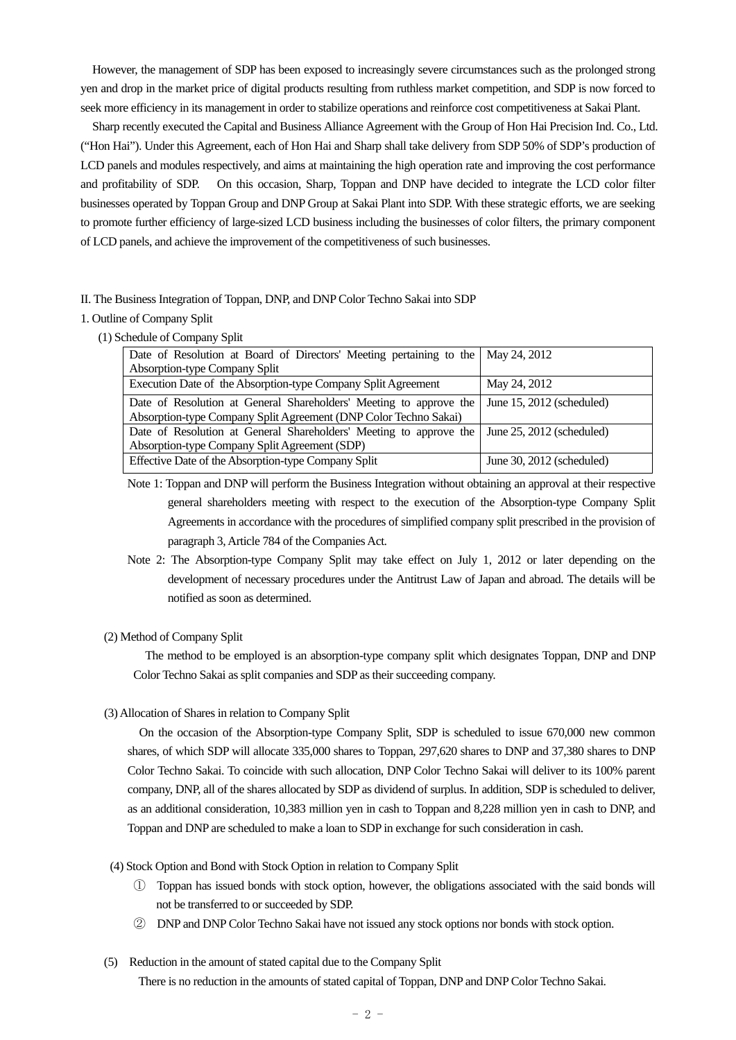However, the management of SDP has been exposed to increasingly severe circumstances such as the prolonged strong yen and drop in the market price of digital products resulting from ruthless market competition, and SDP is now forced to seek more efficiency in its management in order to stabilize operations and reinforce cost competitiveness at Sakai Plant.

Sharp recently executed the Capital and Business Alliance Agreement with the Group of Hon Hai Precision Ind. Co., Ltd. ("Hon Hai"). Under this Agreement, each of Hon Hai and Sharp shall take delivery from SDP 50% of SDP's production of LCD panels and modules respectively, and aims at maintaining the high operation rate and improving the cost performance and profitability of SDP. On this occasion, Sharp, Toppan and DNP have decided to integrate the LCD color filter businesses operated by Toppan Group and DNP Group at Sakai Plant into SDP. With these strategic efforts, we are seeking to promote further efficiency of large-sized LCD business including the businesses of color filters, the primary component of LCD panels, and achieve the improvement of the competitiveness of such businesses.

#### II. The Business Integration of Toppan, DNP, and DNP Color Techno Sakai into SDP

### 1. Outline of Company Split

(1) Schedule of Company Split

| Date of Resolution at Board of Directors' Meeting pertaining to the   May 24, 2012 |                                |
|------------------------------------------------------------------------------------|--------------------------------|
| Absorption-type Company Split                                                      |                                |
| Execution Date of the Absorption-type Company Split Agreement                      | May 24, 2012                   |
| Date of Resolution at General Shareholders' Meeting to approve the                 | June $15, 2012$ (scheduled)    |
| Absorption-type Company Split Agreement (DNP Color Techno Sakai)                   |                                |
| Date of Resolution at General Shareholders' Meeting to approve the                 | June $25$ , $2012$ (scheduled) |
| Absorption-type Company Split Agreement (SDP)                                      |                                |
| Effective Date of the Absorption-type Company Split                                | June 30, $2012$ (scheduled)    |

 Note 1: Toppan and DNP will perform the Business Integration without obtaining an approval at their respective general shareholders meeting with respect to the execution of the Absorption-type Company Split Agreements in accordance with the procedures of simplified company split prescribed in the provision of paragraph 3, Article 784 of the Companies Act.

 Note 2: The Absorption-type Company Split may take effect on July 1, 2012 or later depending on the development of necessary procedures under the Antitrust Law of Japan and abroad. The details will be notified as soon as determined.

### (2) Method of Company Split

 The method to be employed is an absorption-type company split which designates Toppan, DNP and DNP Color Techno Sakai as split companies and SDP as their succeeding company.

(3) Allocation of Shares in relation to Company Split

 On the occasion of the Absorption-type Company Split, SDP is scheduled to issue 670,000 new common shares, of which SDP will allocate 335,000 shares to Toppan, 297,620 shares to DNP and 37,380 shares to DNP Color Techno Sakai. To coincide with such allocation, DNP Color Techno Sakai will deliver to its 100% parent company, DNP, all of the shares allocated by SDP as dividend of surplus. In addition, SDP is scheduled to deliver, as an additional consideration, 10,383 million yen in cash to Toppan and 8,228 million yen in cash to DNP, and Toppan and DNP are scheduled to make a loan to SDP in exchange for such consideration in cash.

- (4) Stock Option and Bond with Stock Option in relation to Company Split
	- ① Toppan has issued bonds with stock option, however, the obligations associated with the said bonds will not be transferred to or succeeded by SDP.
	- ② DNP and DNP Color Techno Sakai have not issued any stock options nor bonds with stock option.
- (5) Reduction in the amount of stated capital due to the Company Split There is no reduction in the amounts of stated capital of Toppan, DNP and DNP Color Techno Sakai.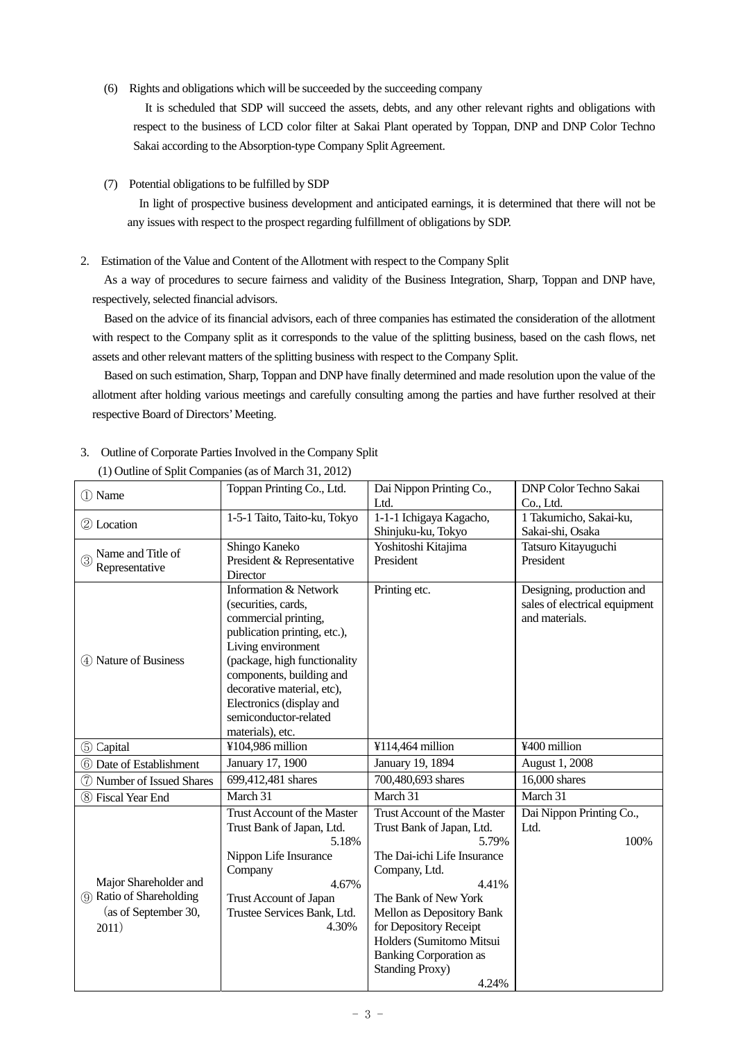(6) Rights and obligations which will be succeeded by the succeeding company

 It is scheduled that SDP will succeed the assets, debts, and any other relevant rights and obligations with respect to the business of LCD color filter at Sakai Plant operated by Toppan, DNP and DNP Color Techno Sakai according to the Absorption-type Company Split Agreement.

## (7) Potential obligations to be fulfilled by SDP

 In light of prospective business development and anticipated earnings, it is determined that there will not be any issues with respect to the prospect regarding fulfillment of obligations by SDP.

### 2. Estimation of the Value and Content of the Allotment with respect to the Company Split

 As a way of procedures to secure fairness and validity of the Business Integration, Sharp, Toppan and DNP have, respectively, selected financial advisors.

 Based on the advice of its financial advisors, each of three companies has estimated the consideration of the allotment with respect to the Company split as it corresponds to the value of the splitting business, based on the cash flows, net assets and other relevant matters of the splitting business with respect to the Company Split.

 Based on such estimation, Sharp, Toppan and DNP have finally determined and made resolution upon the value of the allotment after holding various meetings and carefully consulting among the parties and have further resolved at their respective Board of Directors' Meeting.

| 1 Name                           | Toppan Printing Co., Ltd.                         | Dai Nippon Printing Co.,        | DNP Color Techno Sakai              |
|----------------------------------|---------------------------------------------------|---------------------------------|-------------------------------------|
|                                  | 1-5-1 Taito, Taito-ku, Tokyo                      | Ltd.<br>1-1-1 Ichigaya Kagacho, | Co., Ltd.<br>1 Takumicho, Sakai-ku, |
| 2 Location                       |                                                   | Shinjuku-ku, Tokyo              | Sakai-shi, Osaka                    |
|                                  | Shingo Kaneko                                     | Yoshitoshi Kitajima             | Tatsuro Kitayuguchi                 |
| Name and Title of<br>$\circledS$ | President & Representative                        | President                       | President                           |
| Representative                   | Director                                          |                                 |                                     |
|                                  | <b>Information &amp; Network</b>                  | Printing etc.                   | Designing, production and           |
|                                  | (securities, cards,                               |                                 | sales of electrical equipment       |
|                                  | commercial printing,                              |                                 | and materials.                      |
|                                  | publication printing, etc.),                      |                                 |                                     |
|                                  | Living environment                                |                                 |                                     |
| 4 Nature of Business             | (package, high functionality                      |                                 |                                     |
|                                  | components, building and                          |                                 |                                     |
|                                  | decorative material, etc),                        |                                 |                                     |
|                                  | Electronics (display and<br>semiconductor-related |                                 |                                     |
|                                  | materials), etc.                                  |                                 |                                     |
| 5 Capital                        | ¥104,986 million                                  | ¥114,464 million                | ¥400 million                        |
| 6 Date of Establishment          | January 17, 1900                                  | January 19, 1894                | <b>August 1, 2008</b>               |
| Number of Issued Shares<br>(7)   | 699,412,481 shares                                | 700,480,693 shares              | 16,000 shares                       |
| 8 Fiscal Year End                | March 31                                          | March 31                        | March 31                            |
|                                  | Trust Account of the Master                       | Trust Account of the Master     | Dai Nippon Printing Co.,            |
|                                  | Trust Bank of Japan, Ltd.                         | Trust Bank of Japan, Ltd.       | Ltd.                                |
|                                  | 5.18%                                             | 5.79%                           | 100%                                |
|                                  | Nippon Life Insurance                             | The Dai-ichi Life Insurance     |                                     |
|                                  | Company                                           | Company, Ltd.                   |                                     |
| Major Shareholder and            | 4.67%                                             | 4.41%                           |                                     |
| (9) Ratio of Shareholding        | Trust Account of Japan                            | The Bank of New York            |                                     |
| (as of September 30,             | Trustee Services Bank, Ltd.                       | Mellon as Depository Bank       |                                     |
| 2011)                            | 4.30%                                             | for Depository Receipt          |                                     |
|                                  |                                                   | Holders (Sumitomo Mitsui        |                                     |
|                                  |                                                   | <b>Banking Corporation as</b>   |                                     |
|                                  |                                                   | <b>Standing Proxy)</b>          |                                     |
|                                  |                                                   | 4.24%                           |                                     |

## 3. Outline of Corporate Parties Involved in the Company Split (1) Outline of Split Companies (as of March 31, 2012)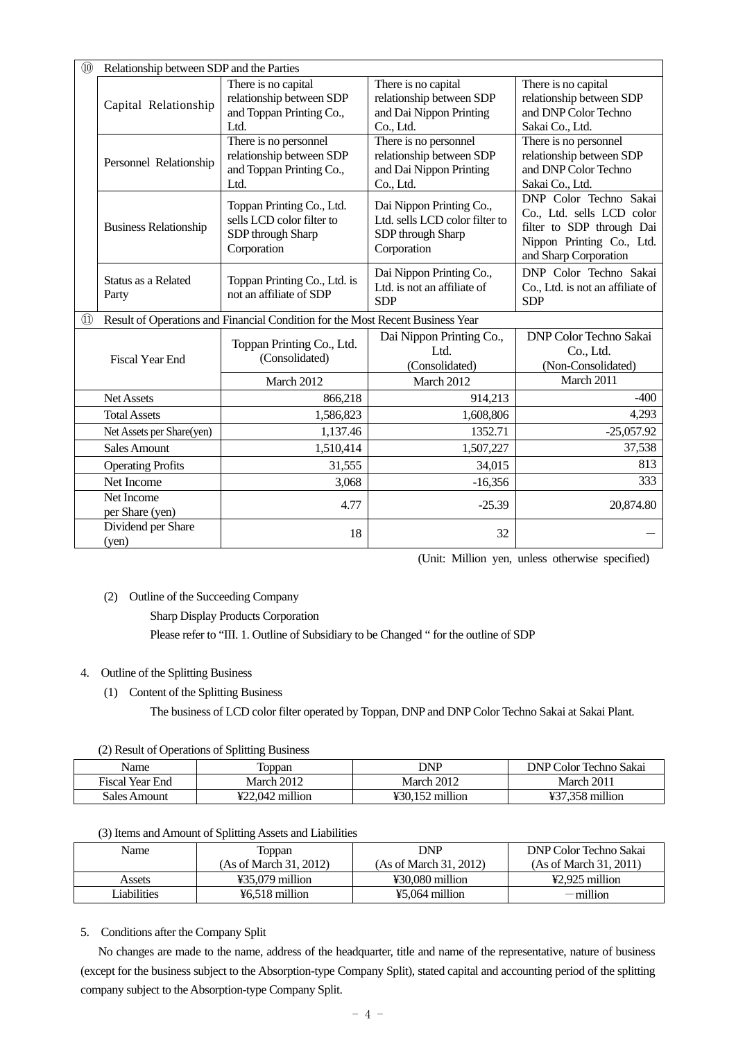| $\circled{10}$                 | Relationship between SDP and the Parties |                                                                                            |                                                                                                |                                                                                                                                        |  |  |
|--------------------------------|------------------------------------------|--------------------------------------------------------------------------------------------|------------------------------------------------------------------------------------------------|----------------------------------------------------------------------------------------------------------------------------------------|--|--|
|                                |                                          | There is no capital<br>relationship between SDP                                            | There is no capital<br>relationship between SDP                                                | There is no capital<br>relationship between SDP                                                                                        |  |  |
|                                | Capital Relationship                     | and Toppan Printing Co.,                                                                   | and Dai Nippon Printing                                                                        | and DNP Color Techno                                                                                                                   |  |  |
|                                |                                          | Ltd.                                                                                       | Co., Ltd.                                                                                      | Sakai Co., Ltd.                                                                                                                        |  |  |
|                                | Personnel Relationship                   | There is no personnel<br>relationship between SDP<br>and Toppan Printing Co.,<br>Ltd.      | There is no personnel<br>relationship between SDP<br>and Dai Nippon Printing<br>Co., Ltd.      | There is no personnel<br>relationship between SDP<br>and DNP Color Techno<br>Sakai Co., Ltd.                                           |  |  |
|                                | <b>Business Relationship</b>             | Toppan Printing Co., Ltd.<br>sells LCD color filter to<br>SDP through Sharp<br>Corporation | Dai Nippon Printing Co.,<br>Ltd. sells LCD color filter to<br>SDP through Sharp<br>Corporation | DNP Color Techno Sakai<br>Co., Ltd. sells LCD color<br>filter to SDP through Dai<br>Nippon Printing Co., Ltd.<br>and Sharp Corporation |  |  |
|                                | Status as a Related<br>Party             | Toppan Printing Co., Ltd. is<br>not an affiliate of SDP                                    | Dai Nippon Printing Co.,<br>Ltd. is not an affiliate of<br><b>SDP</b>                          | DNP Color Techno Sakai<br>Co., Ltd. is not an affiliate of<br><b>SDP</b>                                                               |  |  |
| $\textcircled{\scriptsize{1}}$ |                                          | Result of Operations and Financial Condition for the Most Recent Business Year             |                                                                                                |                                                                                                                                        |  |  |
|                                | <b>Fiscal Year End</b>                   | Toppan Printing Co., Ltd.<br>(Consolidated)                                                | Dai Nippon Printing Co.,<br>Ltd.<br>(Consolidated)                                             | <b>DNP Color Techno Sakai</b><br>Co., Ltd.<br>(Non-Consolidated)                                                                       |  |  |
|                                |                                          | March 2012                                                                                 | March 2012                                                                                     | March 2011                                                                                                                             |  |  |
|                                | Net Assets                               | 866,218                                                                                    | 914,213                                                                                        | $-400$                                                                                                                                 |  |  |
|                                | <b>Total Assets</b>                      | 1,586,823                                                                                  | 1,608,806                                                                                      | 4,293                                                                                                                                  |  |  |
|                                | Net Assets per Share(yen)                | 1,137.46                                                                                   | 1352.71                                                                                        | $-25,057.92$                                                                                                                           |  |  |
|                                | <b>Sales Amount</b>                      | 1,510,414                                                                                  | 1,507,227                                                                                      | 37,538                                                                                                                                 |  |  |
|                                | <b>Operating Profits</b>                 | 31,555                                                                                     | 34,015                                                                                         | 813                                                                                                                                    |  |  |
|                                | Net Income                               | 3,068                                                                                      | $-16,356$                                                                                      | 333                                                                                                                                    |  |  |
|                                | Net Income<br>per Share (yen)            | 4.77                                                                                       | $-25.39$                                                                                       | 20,874.80                                                                                                                              |  |  |
|                                | Dividend per Share<br>(yen)              | 18                                                                                         | 32                                                                                             |                                                                                                                                        |  |  |

(Unit: Million yen, unless otherwise specified)

(2) Outline of the Succeeding Company

Sharp Display Products Corporation

Please refer to "III. 1. Outline of Subsidiary to be Changed " for the outline of SDP

## 4. Outline of the Splitting Business

(1) Content of the Splitting Business

The business of LCD color filter operated by Toppan, DNP and DNP Color Techno Sakai at Sakai Plant.

|  |  |  | (2) Result of Operations of Splitting Business |  |
|--|--|--|------------------------------------------------|--|
|--|--|--|------------------------------------------------|--|

| Name                   | Toppan            | DNP               | <b>DNP Color Techno Sakai</b> |
|------------------------|-------------------|-------------------|-------------------------------|
| <b>Fiscal Year End</b> | March 2012        | March 2012        | March 2011                    |
| Sales Amount           | $422.042$ million | $430.152$ million | ¥37.358 million               |

(3) Items and Amount of Splitting Assets and Liabilities

| Name        | Toppan                     | DNP                    | DNP Color Techno Sakai     |  |
|-------------|----------------------------|------------------------|----------------------------|--|
|             | (As of March 31, 2012)     | (As of March 31, 2012) | (As of March 31, 2011)     |  |
| Assets      | $435.079$ million          | ¥30,080 million        | $\frac{1}{2}2.925$ million |  |
| Liabilities | $\frac{1}{2}6.518$ million | ¥5,064 million         | $-$ million                |  |

5. Conditions after the Company Split

 No changes are made to the name, address of the headquarter, title and name of the representative, nature of business (except for the business subject to the Absorption-type Company Split), stated capital and accounting period of the splitting company subject to the Absorption-type Company Split.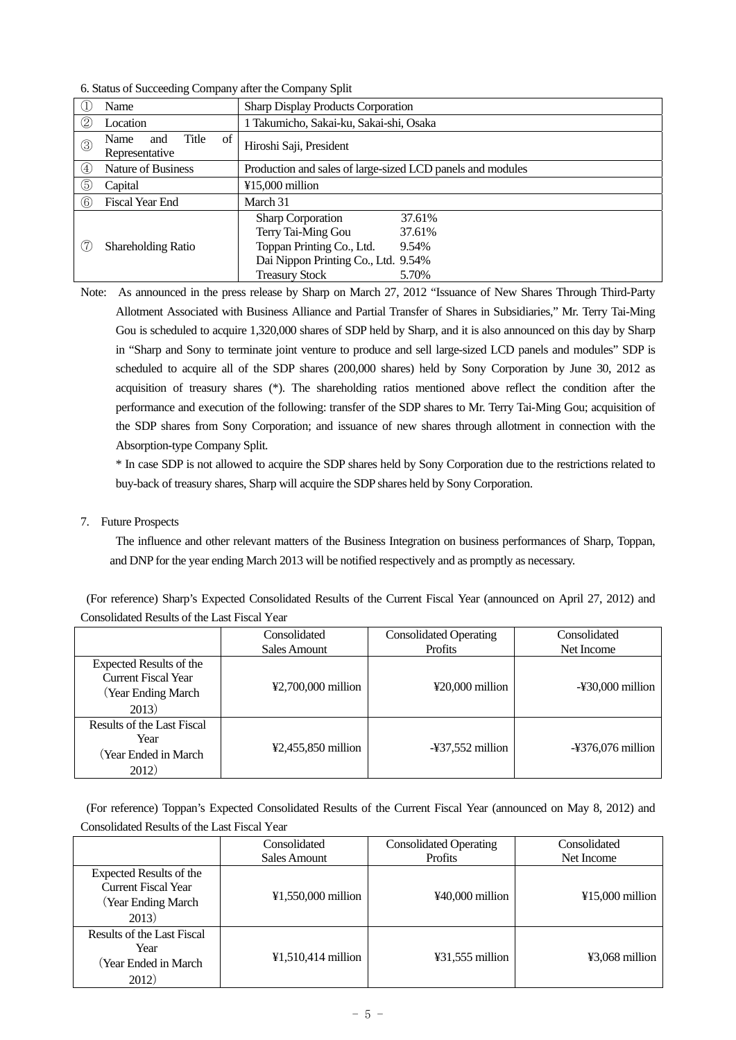|                   | Name                                         | <b>Sharp Display Products Corporation</b>                                                                                                                                         |  |  |
|-------------------|----------------------------------------------|-----------------------------------------------------------------------------------------------------------------------------------------------------------------------------------|--|--|
| (2)               | Location                                     | 1 Takumicho, Sakai-ku, Sakai-shi, Osaka                                                                                                                                           |  |  |
| $^{\circledR}$    | of<br>Title<br>Name<br>and<br>Representative | Hiroshi Saji, President                                                                                                                                                           |  |  |
| $\left( 4\right)$ | Nature of Business                           | Production and sales of large-sized LCD panels and modules                                                                                                                        |  |  |
| 6                 | Capital                                      | $¥15,000$ million                                                                                                                                                                 |  |  |
| (6)               | <b>Fiscal Year End</b>                       | March 31                                                                                                                                                                          |  |  |
| (7                | <b>Shareholding Ratio</b>                    | <b>Sharp Corporation</b><br>37.61%<br>Terry Tai-Ming Gou<br>37.61%<br>Toppan Printing Co., Ltd.<br>9.54%<br>Dai Nippon Printing Co., Ltd. 9.54%<br><b>Treasury Stock</b><br>5.70% |  |  |

6. Status of Succeeding Company after the Company Split

Note: As announced in the press release by Sharp on March 27, 2012 "Issuance of New Shares Through Third-Party Allotment Associated with Business Alliance and Partial Transfer of Shares in Subsidiaries," Mr. Terry Tai-Ming Gou is scheduled to acquire 1,320,000 shares of SDP held by Sharp, and it is also announced on this day by Sharp in "Sharp and Sony to terminate joint venture to produce and sell large-sized LCD panels and modules" SDP is scheduled to acquire all of the SDP shares (200,000 shares) held by Sony Corporation by June 30, 2012 as acquisition of treasury shares (\*). The shareholding ratios mentioned above reflect the condition after the performance and execution of the following: transfer of the SDP shares to Mr. Terry Tai-Ming Gou; acquisition of the SDP shares from Sony Corporation; and issuance of new shares through allotment in connection with the Absorption-type Company Split.

 \* In case SDP is not allowed to acquire the SDP shares held by Sony Corporation due to the restrictions related to buy-back of treasury shares, Sharp will acquire the SDP shares held by Sony Corporation.

## 7. Future Prospects

 The influence and other relevant matters of the Business Integration on business performances of Sharp, Toppan, and DNP for the year ending March 2013 will be notified respectively and as promptly as necessary.

| (For reference) Sharp's Expected Consolidated Results of the Current Fiscal Year (announced on April 27, 2012) and |  |  |  |  |
|--------------------------------------------------------------------------------------------------------------------|--|--|--|--|
| Consolidated Results of the Last Fiscal Year                                                                       |  |  |  |  |

|                                                                                            | Consolidated                           | <b>Consolidated Operating</b>      | Consolidated                  |
|--------------------------------------------------------------------------------------------|----------------------------------------|------------------------------------|-------------------------------|
|                                                                                            | Sales Amount                           | <b>Profits</b>                     | Net Income                    |
| Expected Results of the<br><b>Current Fiscal Year</b><br><b>Year Ending March</b><br>2013) | ¥2,700,000 million                     | $\text{\textdegree}20.000$ million | $-\frac{1}{2}30,000$ million  |
| Results of the Last Fiscal<br>Year<br>(Year Ended in March)<br>2012)                       | $\textcolor{blue}{42,455,850}$ million | $-\frac{1}{2}37,552$ million       | $-\frac{1}{2}376,076$ million |

(For reference) Toppan's Expected Consolidated Results of the Current Fiscal Year (announced on May 8, 2012) and Consolidated Results of the Last Fiscal Year

|                                                                                                   | Consolidated                            | <b>Consolidated Operating</b> |                   |
|---------------------------------------------------------------------------------------------------|-----------------------------------------|-------------------------------|-------------------|
|                                                                                                   | Sales Amount                            | <b>Profits</b>                | Net Income        |
| <b>Expected Results of the</b><br><b>Current Fiscal Year</b><br><b>Year Ending March</b><br>2013) | $¥1,550,000$ million                    | $440,000$ million             | $415,000$ million |
| Results of the Last Fiscal<br>Year<br>Year Ended in March<br>2012)                                | $\text{\textsterling}1,510,414$ million | $431,555$ million             | ¥3,068 million    |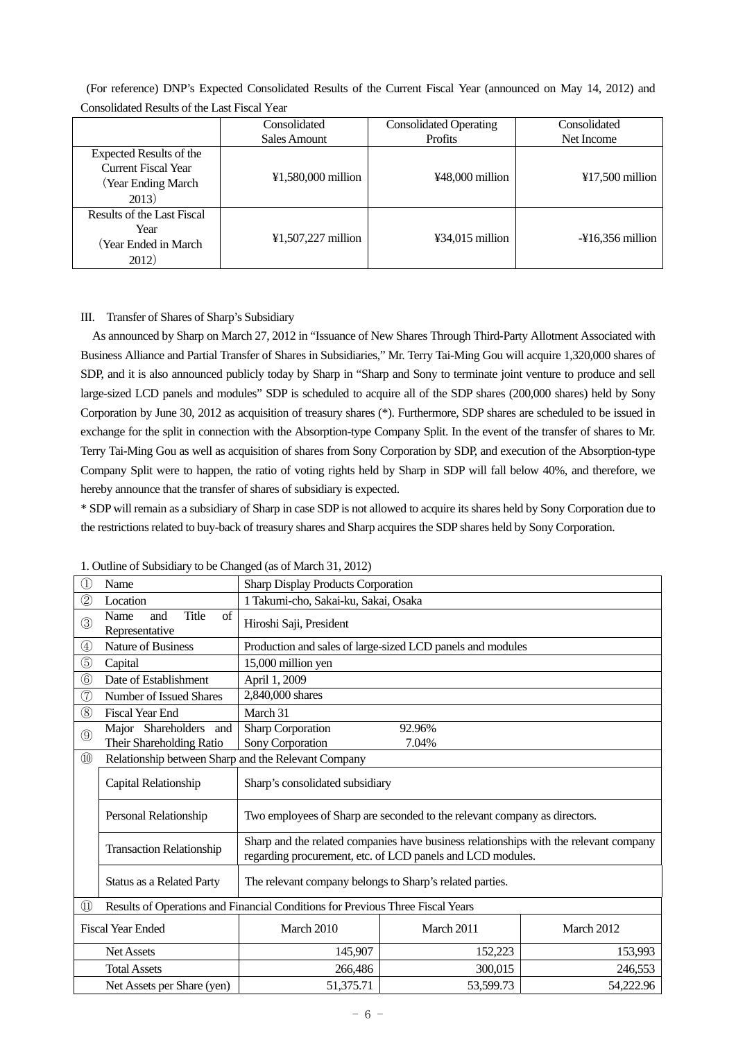(For reference) DNP's Expected Consolidated Results of the Current Fiscal Year (announced on May 14, 2012) and Consolidated Results of the Last Fiscal Year

|                                                                                       | Consolidated         | <b>Consolidated Operating</b> | Consolidated                 |
|---------------------------------------------------------------------------------------|----------------------|-------------------------------|------------------------------|
|                                                                                       | Sales Amount         | <b>Profits</b>                | Net Income                   |
| Expected Results of the<br><b>Current Fiscal Year</b><br>(Year Ending March)<br>2013) | ¥1,580,000 million   | ¥48,000 million               | $¥17,500$ million            |
| Results of the Last Fiscal<br>Year<br>(Year Ended in March)<br>2012)                  | $¥1,507,227$ million | $434,015$ million             | $-\frac{1}{2}16,356$ million |

### III. Transfer of Shares of Sharp's Subsidiary

 As announced by Sharp on March 27, 2012 in "Issuance of New Shares Through Third-Party Allotment Associated with Business Alliance and Partial Transfer of Shares in Subsidiaries," Mr. Terry Tai-Ming Gou will acquire 1,320,000 shares of SDP, and it is also announced publicly today by Sharp in "Sharp and Sony to terminate joint venture to produce and sell large-sized LCD panels and modules" SDP is scheduled to acquire all of the SDP shares (200,000 shares) held by Sony Corporation by June 30, 2012 as acquisition of treasury shares (\*). Furthermore, SDP shares are scheduled to be issued in exchange for the split in connection with the Absorption-type Company Split. In the event of the transfer of shares to Mr. Terry Tai-Ming Gou as well as acquisition of shares from Sony Corporation by SDP, and execution of the Absorption-type Company Split were to happen, the ratio of voting rights held by Sharp in SDP will fall below 40%, and therefore, we hereby announce that the transfer of shares of subsidiary is expected.

\* SDP will remain as a subsidiary of Sharp in case SDP is not allowed to acquire its shares held by Sony Corporation due to the restrictions related to buy-back of treasury shares and Sharp acquires the SDP shares held by Sony Corporation.

| Œ              | Name                                                              | <b>Sharp Display Products Corporation</b>                                      |                                                                                                                                                     |            |  |
|----------------|-------------------------------------------------------------------|--------------------------------------------------------------------------------|-----------------------------------------------------------------------------------------------------------------------------------------------------|------------|--|
| $^\copyright$  | Location                                                          | 1 Takumi-cho, Sakai-ku, Sakai, Osaka                                           |                                                                                                                                                     |            |  |
| $\circled{3}$  | Title<br>$\sigma$ f<br>Name<br>and<br>Representative              | Hiroshi Saji, President                                                        |                                                                                                                                                     |            |  |
| ④              | <b>Nature of Business</b>                                         |                                                                                | Production and sales of large-sized LCD panels and modules                                                                                          |            |  |
| $\circledS$    | Capital                                                           | 15,000 million yen                                                             |                                                                                                                                                     |            |  |
| $\circledS$    | Date of Establishment                                             | April 1, 2009                                                                  |                                                                                                                                                     |            |  |
| $^\circledR$   | Number of Issued Shares                                           | 2,840,000 shares                                                               |                                                                                                                                                     |            |  |
| $\circledS$    | <b>Fiscal Year End</b>                                            | March 31                                                                       |                                                                                                                                                     |            |  |
| $\circledS$    | Major Shareholders and<br>Their Shareholding Ratio                | Sharp Corporation<br>Sony Corporation                                          | 92.96%<br>7.04%                                                                                                                                     |            |  |
| $\circledR$    | Relationship between Sharp and the Relevant Company               |                                                                                |                                                                                                                                                     |            |  |
|                | Capital Relationship                                              | Sharp's consolidated subsidiary                                                |                                                                                                                                                     |            |  |
|                | Personal Relationship                                             |                                                                                | Two employees of Sharp are seconded to the relevant company as directors.                                                                           |            |  |
|                | <b>Transaction Relationship</b>                                   |                                                                                | Sharp and the related companies have business relationships with the relevant company<br>regarding procurement, etc. of LCD panels and LCD modules. |            |  |
|                | Status as a Related Party                                         | The relevant company belongs to Sharp's related parties.                       |                                                                                                                                                     |            |  |
| $^{\circledR}$ |                                                                   | Results of Operations and Financial Conditions for Previous Three Fiscal Years |                                                                                                                                                     |            |  |
|                | <b>Fiscal Year Ended</b>                                          | March 2010                                                                     | March 2011                                                                                                                                          | March 2012 |  |
|                | <b>Net Assets</b>                                                 | 145,907                                                                        | 152,223                                                                                                                                             | 153,993    |  |
|                | <b>Total Assets</b>                                               | 266,486                                                                        | 300,015                                                                                                                                             | 246,553    |  |
|                | 51,375.71<br>54,222.96<br>Net Assets per Share (yen)<br>53,599.73 |                                                                                |                                                                                                                                                     |            |  |

1. Outline of Subsidiary to be Changed (as of March 31, 2012)